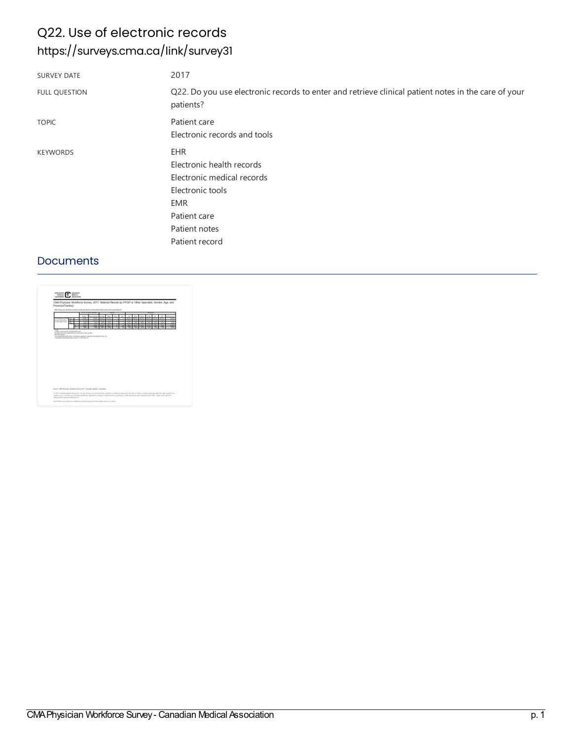### Q22. Use of electronic records <https://surveys.cma.ca/link/survey31>

| <b>SURVEY DATE</b>   | 2017                                                                                                             |
|----------------------|------------------------------------------------------------------------------------------------------------------|
| <b>FULL QUESTION</b> | Q22. Do you use electronic records to enter and retrieve clinical patient notes in the care of your<br>patients? |
| <b>TOPIC</b>         | Patient care                                                                                                     |
|                      | Electronic records and tools                                                                                     |
| <b>KEYWORDS</b>      | <b>EHR</b>                                                                                                       |
|                      | Electronic health records                                                                                        |
|                      | Electronic medical records                                                                                       |
|                      | Electronic tools                                                                                                 |
|                      | <b>EMR</b>                                                                                                       |
|                      | Patient care                                                                                                     |
|                      | Patient notes                                                                                                    |
|                      | Patient record                                                                                                   |

#### **Documents**

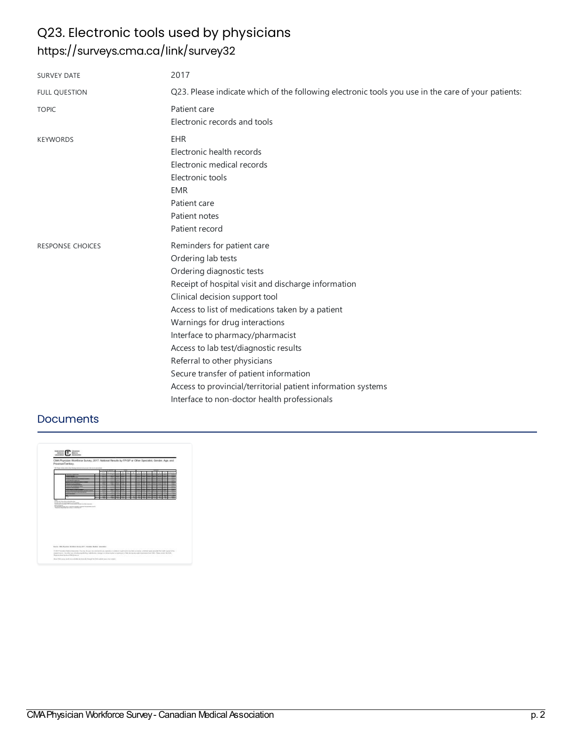# Q23. Electronic tools used by physicians <https://surveys.cma.ca/link/survey32>

| <b>SURVEY DATE</b>      | 2017                                                                                                                                                                                                                                                                                                                                                                                                                                                                                                                                |
|-------------------------|-------------------------------------------------------------------------------------------------------------------------------------------------------------------------------------------------------------------------------------------------------------------------------------------------------------------------------------------------------------------------------------------------------------------------------------------------------------------------------------------------------------------------------------|
| <b>FULL QUESTION</b>    | Q23. Please indicate which of the following electronic tools you use in the care of your patients:                                                                                                                                                                                                                                                                                                                                                                                                                                  |
| <b>TOPIC</b>            | Patient care<br>Electronic records and tools                                                                                                                                                                                                                                                                                                                                                                                                                                                                                        |
| <b>KEYWORDS</b>         | <b>EHR</b><br>Electronic health records<br>Electronic medical records<br>Electronic tools<br><b>EMR</b><br>Patient care<br>Patient notes<br>Patient record                                                                                                                                                                                                                                                                                                                                                                          |
| <b>RESPONSE CHOICES</b> | Reminders for patient care<br>Ordering lab tests<br>Ordering diagnostic tests<br>Receipt of hospital visit and discharge information<br>Clinical decision support tool<br>Access to list of medications taken by a patient<br>Warnings for drug interactions<br>Interface to pharmacy/pharmacist<br>Access to lab test/diagnostic results<br>Referral to other physicians<br>Secure transfer of patient information<br>Access to provincial/territorial patient information systems<br>Interface to non-doctor health professionals |

### **Documents**